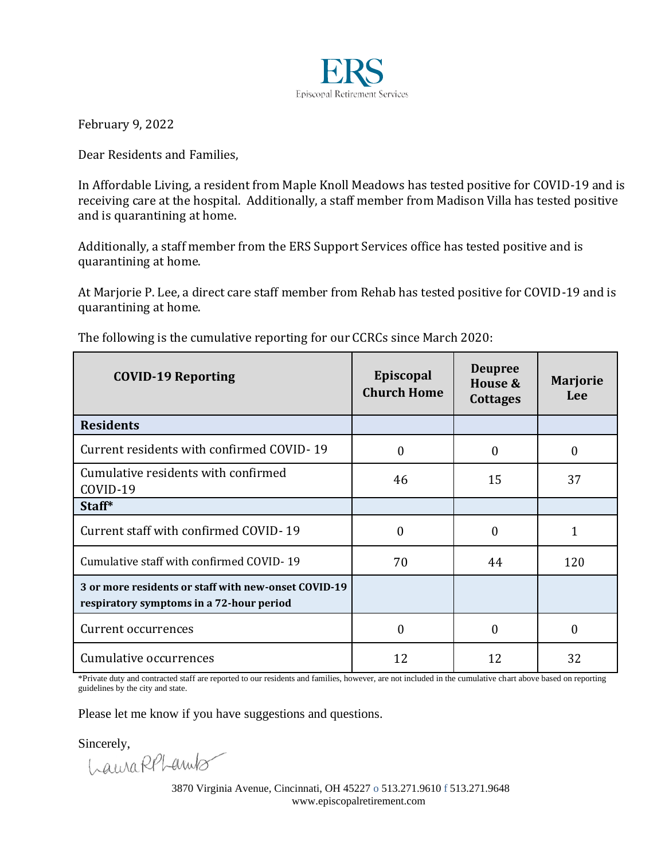

February 9, 2022

Dear Residents and Families,

In Affordable Living, a resident from Maple Knoll Meadows has tested positive for COVID-19 and is receiving care at the hospital. Additionally, a staff member from Madison Villa has tested positive and is quarantining at home.

Additionally, a staff member from the ERS Support Services office has tested positive and is quarantining at home.

At Marjorie P. Lee, a direct care staff member from Rehab has tested positive for COVID-19 and is quarantining at home.

| <b>COVID-19 Reporting</b>                                                                        | Episcopal<br><b>Church Home</b> | <b>Deupree</b><br>House &<br><b>Cottages</b> | <b>Marjorie</b><br>Lee |
|--------------------------------------------------------------------------------------------------|---------------------------------|----------------------------------------------|------------------------|
| <b>Residents</b>                                                                                 |                                 |                                              |                        |
| Current residents with confirmed COVID-19                                                        | 0                               | 0                                            | $\Omega$               |
| Cumulative residents with confirmed<br>COVID-19                                                  | 46                              | 15                                           | 37                     |
| Staff*                                                                                           |                                 |                                              |                        |
| Current staff with confirmed COVID-19                                                            | $\Omega$                        | $\theta$                                     |                        |
| Cumulative staff with confirmed COVID-19                                                         | 70                              | 44                                           | 120                    |
| 3 or more residents or staff with new-onset COVID-19<br>respiratory symptoms in a 72-hour period |                                 |                                              |                        |
| Current occurrences                                                                              | 0                               | $\Omega$                                     | 0                      |
| Cumulative occurrences                                                                           | 12                              | 12                                           | 32                     |

The following is the cumulative reporting for our CCRCs since March 2020:

\*Private duty and contracted staff are reported to our residents and families, however, are not included in the cumulative chart above based on reporting guidelines by the city and state.

Please let me know if you have suggestions and questions.

Sincerely,<br>LauraRPLanuls

3870 Virginia Avenue, Cincinnati, OH 45227 o 513.271.9610 f 513.271.9648 www.episcopalretirement.com